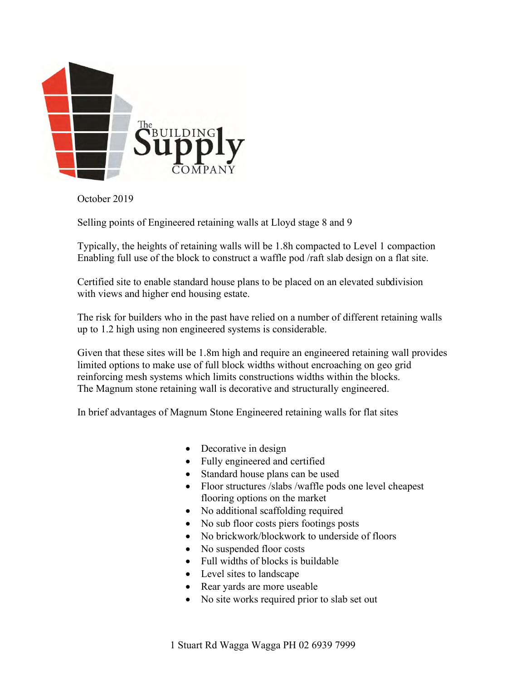

October 2019

Selling points of Engineered retaining walls at Lloyd stage 8 and 9

Typically, the heights of retaining walls will be 1.8h compacted to Level 1 compaction Enabling full use of the block to construct a waffle pod /raft slab design on a flat site.

Certified site to enable standard house plans to be placed on an elevated subdivision with views and higher end housing estate.

The risk for builders who in the past have relied on a number of different retaining walls up to 1.2 high using non engineered systems is considerable.

Given that these sites will be 1.8m high and require an engineered retaining wall provides limited options to make use of full block widths without encroaching on geo grid reinforcing mesh systems which limits constructions widths within the blocks. The Magnum stone retaining wall is decorative and structurally engineered.

In brief advantages of Magnum Stone Engineered retaining walls for flat sites

- Decorative in design
- Fully engineered and certified
- Standard house plans can be used
- Floor structures /slabs /waffle pods one level cheapest flooring options on the market
- No additional scaffolding required
- No sub floor costs piers footings posts
- No brickwork/blockwork to underside of floors
- No suspended floor costs
- Full widths of blocks is buildable
- Level sites to landscape
- Rear yards are more useable
- No site works required prior to slab set out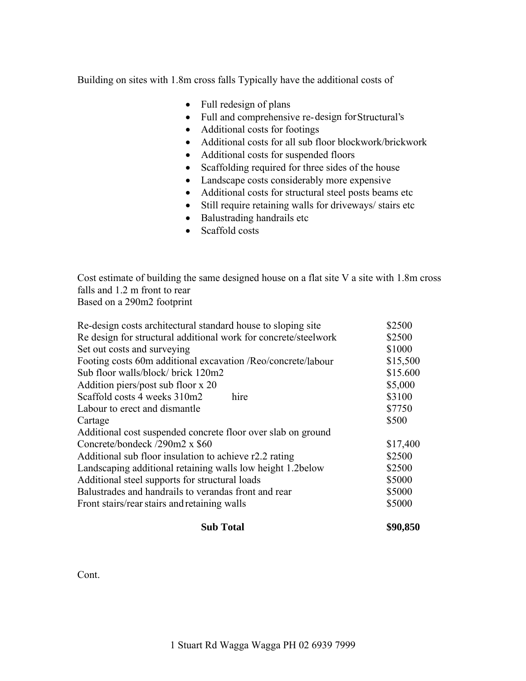Building on sites with 1.8m cross falls Typically have the additional costs of

- Full redesign of plans
- Full and comprehensive re-design for Structural's
- Additional costs for footings
- Additional costs for all sub floor blockwork/brickwork
- Additional costs for suspended floors
- Scaffolding required for three sides of the house
- Landscape costs considerably more expensive
- Additional costs for structural steel posts beams etc
- Still require retaining walls for driveways/ stairs etc
- Balustrading handrails etc
- Scaffold costs

Cost estimate of building the same designed house on a flat site V a site with 1.8m cross falls and 1.2 m front to rear Based on a 290m2 footprint

| Re-design costs architectural standard house to sloping site    | \$2500   |
|-----------------------------------------------------------------|----------|
| Re design for structural additional work for concrete/steelwork | \$2500   |
| Set out costs and surveying                                     | \$1000   |
| Footing costs 60m additional excavation /Reo/concrete/labour    | \$15,500 |
| Sub floor walls/block/ brick 120m2                              | \$15.600 |
| Addition piers/post sub floor x 20                              | \$5,000  |
| Scaffold costs 4 weeks 310m2<br>hire                            | \$3100   |
| Labour to erect and dismantle                                   | \$7750   |
| Cartage                                                         | \$500    |
| Additional cost suspended concrete floor over slab on ground    |          |
| Concrete/bondeck /290m2 x \$60                                  | \$17,400 |
| Additional sub floor insulation to achieve r2.2 rating          | \$2500   |
| Landscaping additional retaining walls low height 1.2 below     | \$2500   |
| Additional steel supports for structural loads                  | \$5000   |
| Balustrades and handrails to verandas front and rear            | \$5000   |
| Front stairs/rear stairs and retaining walls                    | \$5000   |
|                                                                 |          |

## **Sub Total \$90,850**

Cont.